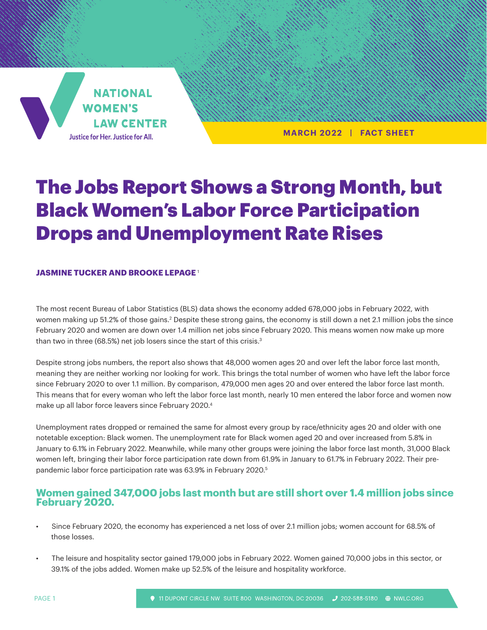**NATIONAL WOMEN'S LAW CENTER** Justice for Her. Justice for All.

**MARCH 2022 | FACT SHEET**

# The Jobs Report Shows a Strong Month, but Black Women's Labor Force Participation Drops and Unemployment Rate Rises

### **JASMINE TUCKER AND BROOKE LEPAGE** <sup>1</sup>

The most recent Bureau of Labor Statistics (BLS) data shows the economy added 678,000 jobs in February 2022, with women making up 51.2% of those gains.<sup>2</sup> Despite these strong gains, the economy is still down a net 2.1 million jobs the since February 2020 and women are down over 1.4 million net jobs since February 2020. This means women now make up more than two in three (68.5%) net job losers since the start of this crisis.<sup>3</sup>

Despite strong jobs numbers, the report also shows that 48,000 women ages 20 and over left the labor force last month, meaning they are neither working nor looking for work. This brings the total number of women who have left the labor force since February 2020 to over 1.1 million. By comparison, 479,000 men ages 20 and over entered the labor force last month. This means that for every woman who left the labor force last month, nearly 10 men entered the labor force and women now make up all labor force leavers since February 2020.4

Unemployment rates dropped or remained the same for almost every group by race/ethnicity ages 20 and older with one notetable exception: Black women. The unemployment rate for Black women aged 20 and over increased from 5.8% in January to 6.1% in February 2022. Meanwhile, while many other groups were joining the labor force last month, 31,000 Black women left, bringing their labor force participation rate down from 61.9% in January to 61.7% in February 2022. Their prepandemic labor force participation rate was 63.9% in February 2020.5

# **Women gained 347,000 jobs last month but are still short over 1.4 million jobs since February 2020.**

- Since February 2020, the economy has experienced a net loss of over 2.1 million jobs; women account for 68.5% of those losses.
- The leisure and hospitality sector gained 179,000 jobs in February 2022. Women gained 70,000 jobs in this sector, or 39.1% of the jobs added. Women make up 52.5% of the leisure and hospitality workforce.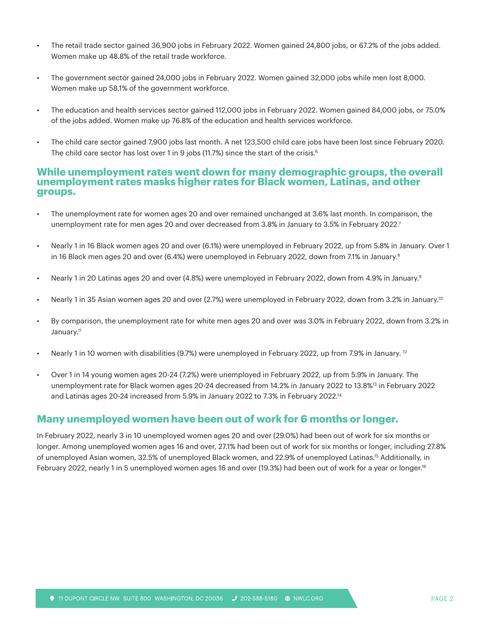- The retail trade sector gained 36,900 jobs in February 2022. Women gained 24,800 jobs, or 67.2% of the jobs added. Women make up 48.8% of the retail trade workforce.
- The government sector gained 24,000 jobs in February 2022. Women gained 32,000 jobs while men lost 8,000. Women make up 58.1% of the government workforce.
- The education and health services sector gained 112,000 jobs in February 2022. Women gained 84,000 jobs, or 75.0% of the jobs added. Women make up 76.8% of the education and health services workforce.
- The child care sector gained 7,900 jobs last month. A net 123,500 child care jobs have been lost since February 2020. The child care sector has lost over 1 in 9 jobs (11.7%) since the start of the crisis.<sup>6</sup>

## **While unemployment rates went down for many demographic groups, the overall unemployment rates masks higher rates for Black women, Latinas, and other groups.**

- The unemployment rate for women ages 20 and over remained unchanged at 3.6% last month. In comparison, the unemployment rate for men ages 20 and over decreased from 3.8% in January to 3.5% in February 2022.7
- Nearly 1 in 16 Black women ages 20 and over (6.1%) were unemployed in February 2022, up from 5.8% in January. Over 1 in 16 Black men ages 20 and over (6.4%) were unemployed in February 2022, down from 7.1% in January.<sup>8</sup>
- Nearly 1 in 20 Latinas ages 20 and over (4.8%) were unemployed in February 2022, down from 4.9% in January.<sup>9</sup>
- Nearly 1 in 35 Asian women ages 20 and over (2.7%) were unemployed in February 2022, down from 3.2% in January.10
- By comparison, the unemployment rate for white men ages 20 and over was 3.0% in February 2022, down from 3.2% in January.<sup>11</sup>
- Nearly 1 in 10 women with disabilities (9.7%) were unemployed in February 2022, up from 7.9% in January. 12
- Over 1 in 14 young women ages 20-24 (7.2%) were unemployed in February 2022, up from 5.9% in January. The unemployment rate for Black women ages 20-24 decreased from 14.2% in January 2022 to 13.8%13 in February 2022 and Latinas ages 20-24 increased from 5.9% in January 2022 to 7.3% in February 2022.14

# **Many unemployed women have been out of work for 6 months or longer.**

In February 2022, nearly 3 in 10 unemployed women ages 20 and over (29.0%) had been out of work for six months or longer. Among unemployed women ages 16 and over, 27.1% had been out of work for six months or longer, including 27.8% of unemployed Asian women, 32.5% of unemployed Black women, and 22.9% of unemployed Latinas.15 Additionally, in February 2022, nearly 1 in 5 unemployed women ages 16 and over (19.3%) had been out of work for a year or longer.16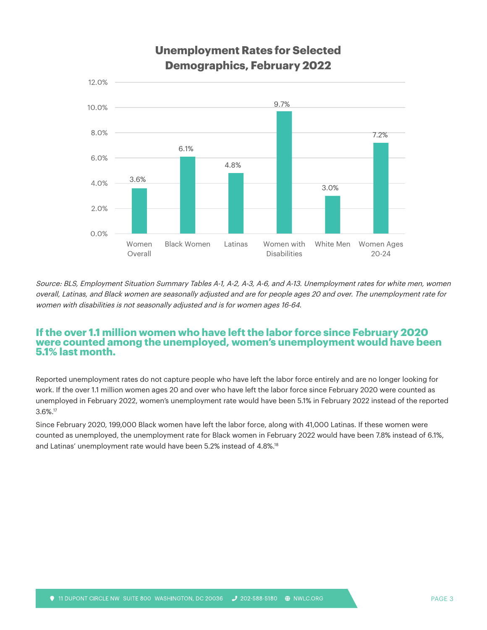

Source: BLS, Employment Situation Summary Tables A-1, A-2, A-3, A-6, and A-13. Unemployment rates for white men, women overall, Latinas, and Black women are seasonally adjusted and are for people ages 20 and over. The unemployment rate for women with disabilities is not seasonally adjusted and is for women ages 16-64.

### **If the over 1.1 million women who have left the labor force since February 2020 were counted among the unemployed, women's unemployment would have been 5.1% last month.**

Reported unemployment rates do not capture people who have left the labor force entirely and are no longer looking for work. If the over 1.1 million women ages 20 and over who have left the labor force since February 2020 were counted as unemployed in February 2022, women's unemployment rate would have been 5.1% in February 2022 instead of the reported 3.6%.17

Since February 2020, 199,000 Black women have left the labor force, along with 41,000 Latinas. If these women were counted as unemployed, the unemployment rate for Black women in February 2022 would have been 7.8% instead of 6.1%, and Latinas' unemployment rate would have been 5.2% instead of 4.8%.18